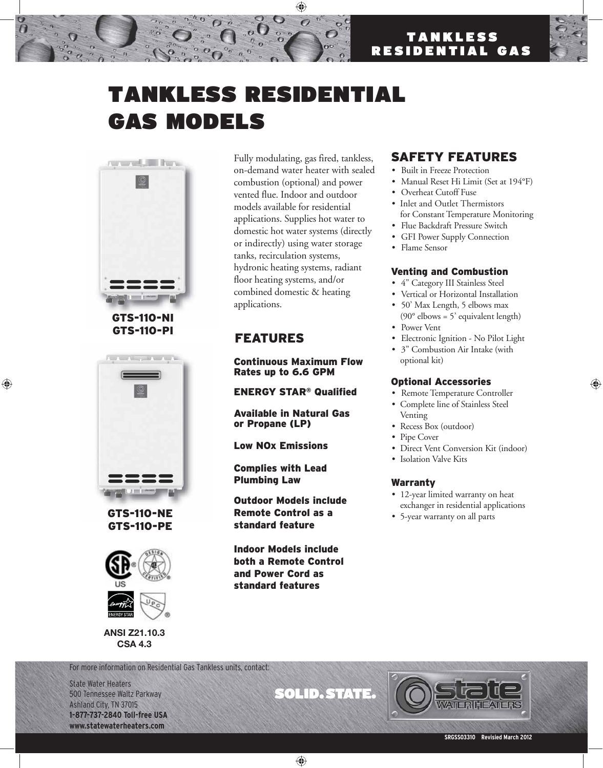# TANKLESS RESIDENTIAL GAS MODELS



GTS-110-NI GTS-110-PI



GTS-110-NE GTS-110-PE



**ANSI Z21.10.3 CSA 4.3**

Fully modulating, gas fired, tankless, on-demand water heater with sealed combustion (optional) and power vented flue. Indoor and outdoor models available for residential applications. Supplies hot water to domestic hot water systems (directly or indirectly) using water storage tanks, recirculation systems, hydronic heating systems, radiant floor heating systems, and/or combined domestic & heating applications.

## FEATURES

Continuous Maximum Flow Rates up to 6.6 GPM

#### ENERGY STAR® Qualified

Available in Natural Gas or Propane (LP)

Low NOx Emissions

Complies with Lead Plumbing Law

Outdoor Models include Remote Control as a standard feature

Indoor Models include both a Remote Control and Power Cord as standard features

### SAFETY FEATURES

- Built in Freeze Protection
- Manual Reset Hi Limit (Set at 194°F)
- Overheat Cutoff Fuse
- Inlet and Outlet Thermistors for Constant Temperature Monitoring
- Flue Backdraft Pressure Switch
- GFI Power Supply Connection
- Flame Sensor

#### Venting and Combustion

- 4" Category III Stainless Steel
- Vertical or Horizontal Installation
- 50' Max Length, 5 elbows max (90° elbows = 5' equivalent length)
- Power Vent
- Electronic Ignition No Pilot Light
- 3" Combustion Air Intake (with optional kit)

#### Optional Accessories

- Remote Temperature Controller
- Complete line of Stainless Steel Venting
- Recess Box (outdoor)
- Pipe Cover
- Direct Vent Conversion Kit (indoor)
- Isolation Valve Kits

#### Warranty

- 12-year limited warranty on heat exchanger in residential applications
- 5-year warranty on all parts

For more information on Residential Gas Tankless units, contact:

State Water Heaters 500 Tennessee Waltz Parkway Ashland City, TN 37015 **1-877-737-2840 Toll-free USA www.statewaterheaters.com**

**SOLID. STATE.**